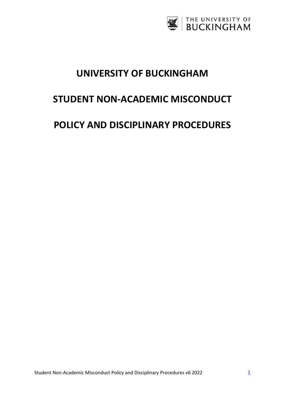

# **UNIVERSITY OF BUCKINGHAM**

# **STUDENT NON-ACADEMIC MISCONDUCT**

# **POLICY AND DISCIPLINARY PROCEDURES**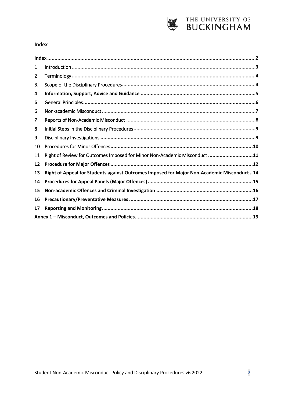

#### <span id="page-1-0"></span>**Index**

| $\mathbf{1}$   |                                                                                            |  |
|----------------|--------------------------------------------------------------------------------------------|--|
| $\overline{2}$ |                                                                                            |  |
| 3.             |                                                                                            |  |
| 4              |                                                                                            |  |
| 5              |                                                                                            |  |
| 6              |                                                                                            |  |
| 7              |                                                                                            |  |
| 8              |                                                                                            |  |
| 9              |                                                                                            |  |
| 10             |                                                                                            |  |
| 11             | Right of Review for Outcomes Imposed for Minor Non-Academic Misconduct 11                  |  |
| 12             |                                                                                            |  |
| 13             | Right of Appeal for Students against Outcomes Imposed for Major Non-Academic Misconduct 14 |  |
| 14             |                                                                                            |  |
| 15             |                                                                                            |  |
| 16             |                                                                                            |  |
| 17             |                                                                                            |  |
|                |                                                                                            |  |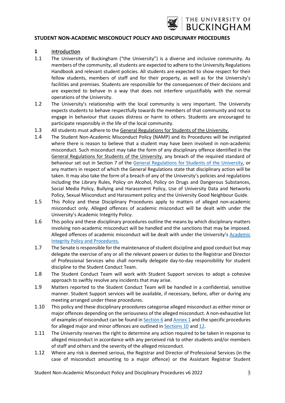

#### **STUDENT NON-ACADEMIC MISCONDUCT POLICY AND DISCIPLINARY PROCEDURES**

#### <span id="page-2-0"></span>**1** Introduction

- 1.1 The University of Buckingham ("the University") is a diverse and inclusive community. As members of the community, all students are expected to adhere to th[e University Regulations](https://www.buckingham.ac.uk/about/handbooks/regulations-handbook/)  [Handbook](https://www.buckingham.ac.uk/about/handbooks/regulations-handbook/) and relevant student policies. All students are expected to show respect for their fellow students, members of staff and for their property, as well as for the University's facilities and premises. Students are responsible for the consequences of their decisions and are expected to behave in a way that does not interfere unjustifiably with the normal operations of the University.
- 1.2 The University's relationship with the local community is very important. The University expects students to behave respectfully towards the members of that community and not to engage in behaviour that causes distress or harm to others. Students are encouraged to participate responsibly in the life of the local community.
- 1.3 All students must adhere to the [General Regulations for Students of the University.](https://www.buckingham.ac.uk/about/handbooks/regulations-handbook/)
- 1.4 The Student Non-Academic Misconduct Policy (NAMP) and its Procedures will be instigated where there is reason to believe that a student may have been involved in non-academic misconduct. Such misconduct may take the form of any disciplinary offence identified in the [General Regulations for Students of the University,](https://www.buckingham.ac.uk/about/handbooks/regulations-handbook/) any breach of the required standard of behaviour set out in Section 7 of the [General Regulations](https://www.buckingham.ac.uk/about/handbooks/regulations-handbook/) for Students of the University, or any matters in respect of which the General Regulations state that disciplinary action will be taken. It may also take the form of a breach of any of the University's policies and regulations including the Library Rules, Policy on Alcohol, Policy on Drugs and Dangerous Substances, Social Media Policy, Bullying and Harassment Policy, Use of University Data and Networks Policy, Sexual Misconduct and Harassment policy and the University Good Neighbour Guide.
- 1.5 This Policy and these Disciplinary Procedures apply to matters of alleged non-academic misconduct only. Alleged offences of academic misconduct will be dealt with under the University's Academic Integrity Policy.
- 1.6 This policy and these disciplinary procedures outline the means by which disciplinary matters involving non-academic misconduct will be handled and the sanctions that may be imposed. Alleged offences of academic misconduct will be dealt with under the University's [Academic](https://www.buckingham.ac.uk/wp-content/uploads/2019/01/3.6a-Academic-Misconduct-Policy-and-Procedures.pdf)  [Integrity Policy and Procedures.](https://www.buckingham.ac.uk/wp-content/uploads/2019/01/3.6a-Academic-Misconduct-Policy-and-Procedures.pdf)
- 1.7 The Senate is responsible for the maintenance of student discipline and good conduct but may delegate the exercise of any or all the relevant powers or duties to the Registrar and Director of Professional Services who shall normally delegate day-to-day responsibility for student discipline to the Student Conduct Team.
- 1.8 The Student Conduct Team will work with Student Support services to adopt a cohesive approach to swiftly resolve any incidents that may arise.
- 1.9 Matters reported to the Student Conduct Team will be handled in a confidential, sensitive manner. Student Support services will be available, if necessary, before, after or during any meeting arranged under these procedures.
- 1.10 This policy and these disciplinary procedures categorise alleged misconduct as either minor or major offences depending on the seriousness of the alleged misconduct. A non-exhaustive list of examples of misconduct can be found in [Section](#page-6-0) 6 an[d Annex 1](#page-18-0) and the specific procedures for alleged major and minor offences are outlined in **Sections 10** and [12.](#page-11-0)
- 1.11 The University reserves the right to determine any action required to be taken in response to alleged misconduct in accordance with any perceived risk to other students and/or members of staff and others and the severity of the alleged misconduct.
- 1.12 Where any risk is deemed serious, the Registrar and Director of Professional Services (in the case of misconduct amounting to a major offence) or the Assistant Registrar Student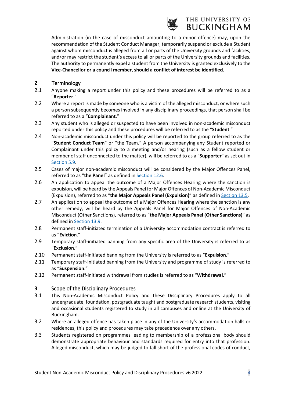

### THE UNIVERSITY OF **BUCKINGHAM**

Administration (in the case of misconduct amounting to a minor offence) may, upon the recommendation of the Student Conduct Manager, temporarily suspend or exclude a Student against whom misconduct is alleged from all or parts of the University grounds and facilities, and/or may restrict the student's access to all or parts of the University grounds and facilities. The authority to permanently expel a student from the University is granted exclusively to the **Vice-Chancellor or a council member, should a conflict of interest be identified.**

#### <span id="page-3-0"></span>**2** Terminology

- 2.1 Anyone making a report under this policy and these procedures will be referred to as a "**Reporter**."
- 2.2 Where a report is made by someone who is a victim of the alleged misconduct, or where such a person subsequently becomes involved in any disciplinary proceedings, that person shall be referred to as a "**Complainant**."
- 2.3 Any student who is alleged or suspected to have been involved in non-academic misconduct reported under this policy and these procedures will be referred to as the "**Student**."
- 2.4 Non-academic misconduct under this policy will be reported to the group referred to as the "**Student Conduct Team**" or "the Team." A person accompanying any Student reported or Complainant under this policy to a meeting and/or hearing (such as a fellow student or member of staff unconnected to the matter), will be referred to as a "**Supporter**" as set out in [Section](#page-5-0) 5.9.
- 2.5 Cases of major non-academic misconduct will be considered by the Major Offences Panel, referred to as "**the Panel**" as defined in [Section](#page-11-0) 12.6.
- 2.6 An application to appeal the outcome of a Major Offences Hearing where the sanction is expulsion, will be heard by the Appeals Panel for Major Offences of Non-Academic Misconduct (Expulsion), referred to as "**the Major Appeals Panel (Expulsion)**" as defined in [Section](#page-13-0) 13.5.
- 2.7 An application to appeal the outcome of a Major Offences Hearing where the sanction is any other remedy, will be heard by the Appeals Panel for Major Offences of Non-Academic Misconduct (Other Sanctions), referred to as "**the Major Appeals Panel (Other Sanctions)**" as defined in [Section](#page-13-0) 13.9.
- 2.8 Permanent staff-initiated termination of a University accommodation contract is referred to as "**Eviction**."
- 2.9 Temporary staff-initiated banning from any specific area of the University is referred to as "**Exclusion**."
- 2.10 Permanent staff-initiated banning from the University is referred to as "**Expulsion**."
- 2.11 Temporary staff-initiated banning from the University and programme of study is referred to as "**Suspension**."
- 2.12 Permanent staff-initiated withdrawal from studies is referred to as "**Withdrawal**."

#### <span id="page-3-1"></span>**3** Scope of the Disciplinary Procedures

- 3.1 This Non-Academic Misconduct Policy and these Disciplinary Procedures apply to all undergraduate, foundation, postgraduate taught and postgraduate research students, visiting and occasional students registered to study in all campuses and online at the University of Buckingham.
- 3.2 Where an alleged offence has taken place in any of the University's accommodation halls or residences, this policy and procedures may take precedence over any others.
- 3.3 Students registered on programmes leading to membership of a professional body should demonstrate appropriate behaviour and standards required for entry into that profession. Alleged misconduct, which may be judged to fall short of the professional codes of conduct,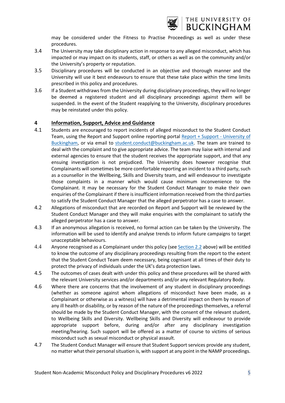

may be considered under the Fitness to Practise Proceedings as well as under these procedures.

- 3.4 The University may take disciplinary action in response to any alleged misconduct, which has impacted or may impact on its students, staff, or others as well as on the community and/or the University's property or reputation.
- 3.5 Disciplinary procedures will be conducted in an objective and thorough manner and the University will use it best endeavours to ensure that these take place within the time limits prescribed in this policy and procedures.
- 3.6 If a Student withdraws from the University during disciplinary proceedings, they will no longer be deemed a registered student and all disciplinary proceedings against them will be suspended. In the event of the Student reapplying to the University, disciplinary procedures may be reinstated under this policy.

#### <span id="page-4-0"></span>**4 Information, Support, Advice and Guidance**

- 4.1 Students are encouraged to report incidents of alleged misconduct to the Student Conduct Team, using the Report and Support online reporting portal [Report + Support -](https://reportandsupport.buckingham.ac.uk/) University of [Buckingham,](https://reportandsupport.buckingham.ac.uk/) or via email to [student.conduct@buckingham.ac.uk.](mailto:student.conduct@buckingham.ac.uk) The team are trained to deal with the complaint and to give appropriate advice. The team may liaise with internal and external agencies to ensure that the student receives the appropriate support, and that any ensuing investigation is not prejudiced. The University does however recognise that Complainants will sometimes be more comfortable reporting an incident to a third party, such as a counsellor in the Wellbeing, Skills and Diversity team, and will endeavour to investigate those complaints in a manner which would cause minimum inconvenience to the Complainant. It may be necessary for the Student Conduct Manager to make their own enquiries of the Complainant if there is insufficient information received from the third parties to satisfy the Student Conduct Manager that the alleged perpetrator has a case to answer.
- 4.2 Allegations of misconduct that are recorded on Report and Support will be reviewed by the Student Conduct Manager and they will make enquiries with the complainant to satisfy the alleged perpetrator has a case to answer.
- 4.3 If an anonymous allegation is received, no formal action can be taken by the University. The information will be used to identify and analyse trends to inform future campaigns to target unacceptable behaviours.
- 4.4 Anyone recognised as a Complainant under this policy (see [Section](#page-3-0) 2.2 above) will be entitled to know the outcome of any disciplinary proceedings resulting from the report to the extent that the Student Conduct Team deem necessary, being cognisant at all times of their duty to protect the privacy of individuals under the UK's data protection laws.
- 4.5 The outcomes of cases dealt with under this policy and these procedures will be shared with the relevant University services and/or departments and/or any relevant Regulatory Body.
- 4.6 Where there are concerns that the involvement of any student in disciplinary proceedings (whether as someone against whom allegations of misconduct have been made, as a Complainant or otherwise as a witness) will have a detrimental impact on them by reason of any ill health or disability, or by reason of the nature of the proceedings themselves, a referral should be made by the Student Conduct Manager, with the consent of the relevant student, to Wellbeing Skills and Diversity. Wellbeing Skills and Diversity will endeavour to provide appropriate support before, during and/or after any disciplinary investigation meeting/hearing. Such support will be offered as a matter of course to victims of serious misconduct such as sexual misconduct or physical assault.
- 4.7 The Student Conduct Manager will ensure that Student Support services provide any student, no matter what their personal situation is, with support at any point in the NAMP proceedings.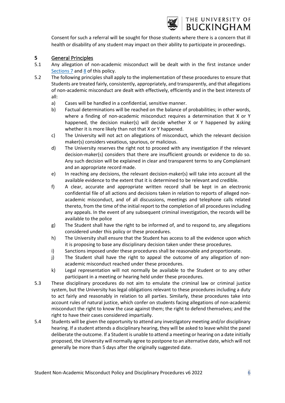

# THE UNIVERSITY OF **BUCKINGHAM**

Consent for such a referral will be sought for those students where there is a concern that ill health or disability of any student may impact on their ability to participate in proceedings.

#### <span id="page-5-0"></span>**5** General Principles

- 5.1 Any allegation of non-academic misconduct will be dealt with in the first instance under [Sections 7](#page-7-0) an[d 8](#page-8-0) of this policy.
- 5.2 The following principles shall apply to the implementation of these procedures to ensure that Students are treated fairly, consistently, appropriately, and transparently, and that allegations of non-academic misconduct are dealt with effectively, efficiently and in the best interests of all:
	- a) Cases will be handled in a confidential, sensitive manner.
	- b) Factual determinations will be reached on the balance of probabilities; in other words, where a finding of non-academic misconduct requires a determination that X or Y happened, the decision maker(s) will decide whether X or Y happened by asking whether it is more likely than not that X or Y happened.
	- c) The University will not act on allegations of misconduct, which the relevant decision maker(s) considers vexatious, spurious, or malicious.
	- d) The University reserves the right not to proceed with any investigation if the relevant decision-maker(s) considers that there are insufficient grounds or evidence to do so. Any such decision will be explained in clear and transparent terms to any Complainant and an appropriate record made.
	- e) In reaching any decisions, the relevant decision-maker(s) will take into account all the available evidence to the extent that it is determined to be relevant and credible.
	- f) A clear, accurate and appropriate written record shall be kept in an electronic confidential file of all actions and decisions taken in relation to reports of alleged nonacademic misconduct, and of all discussions, meetings and telephone calls related thereto, from the time of the initial report to the completion of all procedures including any appeals. In the event of any subsequent criminal investigation, the records will be available to the police
	- g) The Student shall have the right to be informed of, and to respond to, any allegations considered under this policy or these procedures.
	- h) The University shall ensure that the Student has access to all the evidence upon which it is proposing to base any disciplinary decision taken under these procedures.
	- i) Sanctions imposed under these procedures shall be reasonable and proportionate.
	- j) The Student shall have the right to appeal the outcome of any allegation of nonacademic misconduct reached under these procedures.
	- k) Legal representation will not normally be available to the Student or to any other participant in a meeting or hearing held under these procedures.
- 5.3 These disciplinary procedures do not aim to emulate the criminal law or criminal justice system, but the University has legal obligations relevant to these procedures including a duty to act fairly and reasonably in relation to all parties. Similarly, these procedures take into account rules of natural justice, which confer on students facing allegations of non-academic misconduct the right to know the case against them; the right to defend themselves; and the right to have their cases considered impartially.
- 5.4 Students will be given the opportunity to attend any investigatory meeting and/or disciplinary hearing. If a student attends a disciplinary hearing, they will be asked to leave whilst the panel deliberate the outcome. If a Student is unable to attend a meeting or hearing on a date initially proposed, the University will normally agree to postpone to an alternative date, which will not generally be more than 5 days after the originally suggested date.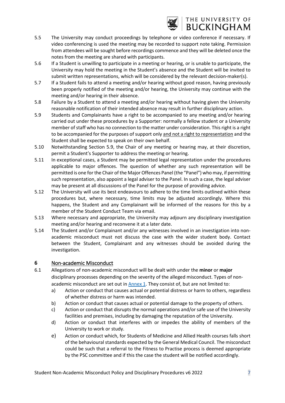

- 5.5 The University may conduct proceedings by telephone or video conference if necessary. If video conferencing is used the meeting may be recorded to support note taking. Permission from attendees will be sought before recordings commence and they will be deleted once the notes from the meeting are shared with participants.
- 5.6 If a Student is unwilling to participate in a meeting or hearing, or is unable to participate, the University may hold the meeting in the Student's absence and the Student will be invited to submit written representations, which will be considered by the relevant decision-maker(s).
- 5.7 If a Student fails to attend a meeting and/or hearing without good reason, having previously been properly notified of the meeting and/or hearing, the University may continue with the meeting and/or hearing in their absence.
- 5.8 Failure by a Student to attend a meeting and/or hearing without having given the University reasonable notification of their intended absence may result in further disciplinary action.
- 5.9 Students and Complainants have a right to be accompanied to any meeting and/or hearing carried out under these procedures by a Supporter: normally a fellow student or a University member of staff who has no connection to the matter under consideration. This right is a right to be accompanied for the purposes of support only and not a right to representation and the Student shall be expected to speak on their own behalf.
- 5.10 Notwithstanding Section 5.9, the Chair of any meeting or hearing may, at their discretion, permit a Student's Supporter to address the meeting or hearing.
- 5.11 In exceptional cases, a Student may be permitted legal representation under the procedures applicable to major offences. The question of whether any such representation will be permitted is one for the Chair of the Major Offences Panel (the "Panel") who may, if permitting such representation, also appoint a legal adviser to the Panel. In such a case, the legal adviser may be present at all discussions of the Panel for the purpose of providing advice.
- 5.12 The University will use its best endeavours to adhere to the time limits outlined within these procedures but, where necessary, time limits may be adjusted accordingly. Where this happens, the Student and any Complainant will be informed of the reasons for this by a member of the Student Conduct Team via email.
- 5.13 Where necessary and appropriate, the University may adjourn any disciplinary investigation meeting and/or hearing and reconvene it at a later date.
- 5.14 The Student and/or Complainant and/or any witnesses involved in an investigation into nonacademic misconduct must not discuss the case with the wider student body. Contact between the Student, Complainant and any witnesses should be avoided during the investigation.

#### <span id="page-6-0"></span>**6** Non-academic Misconduct

- 6.1 Allegations of non-academic misconduct will be dealt with under the **minor** or **major** disciplinary processes depending on the severity of the alleged misconduct. Types of nonacademic misconduct are set out in [Annex 1.](#page-18-0) They consist of, but are not limited to:
	- a) Action or conduct that causes actual or potential distress or harm to others, regardless of whether distress or harm was intended.
	- b) Action or conduct that causes actual or potential damage to the property of others.
	- c) Action or conduct that disrupts the normal operations and/or safe use of the University facilities and premises, including by damaging the reputation of the University.
	- d) Action or conduct that interferes with or impedes the ability of members of the University to work or study.
	- e) Action or conduct which, for Students of Medicine and Allied Health courses falls short of the behavioural standards expected by the General Medical Council. The misconduct could be such that a referral to the Fitness to Practise process is deemed appropriate by the PSC committee and if this the case the student will be notified accordingly.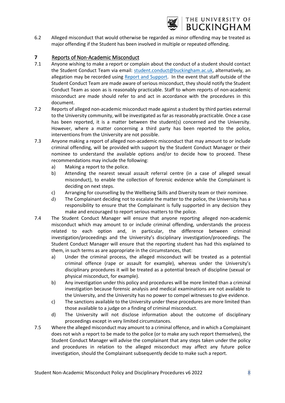

6.2 Alleged misconduct that would otherwise be regarded as minor offending may be treated as major offending if the Student has been involved in multiple or repeated offending.

#### <span id="page-7-0"></span>**7** Reports of Non-Academic Misconduct

- 7.1 Anyone wishing to make a report or complain about the conduct of a student should contact the Student Conduct Team via email: [student.conduct@buckingham.ac.uk,](mailto:student.conduct@buckingham.ac.uk) alternatively, an allegation may be recorded using [Report and Support.](https://reportandsupport.buckingham.ac.uk/) In the event that staff outside of the Student Conduct Team are made aware of serious misconduct, they should notify the Student Conduct Team as soon as is reasonably practicable. Staff to whom reports of non-academic misconduct are made should refer to and act in accordance with the procedures in this document.
- 7.2 Reports of alleged non-academic misconduct made against a student by third parties external to the University community, will be investigated as far as reasonably practicable. Once a case has been reported, it is a matter between the student(s) concerned and the University. However, where a matter concerning a third party has been reported to the police, interventions from the University are not possible.
- 7.3 Anyone making a report of alleged non-academic misconduct that may amount to or include criminal offending, will be provided with support by the Student Conduct Manager or their nominee to understand the available options and/or to decide how to proceed. These recommendations may include the following:
	- a) Making a report to the police.
	- b) Attending the nearest sexual assault referral centre (in a case of alleged sexual misconduct), to enable the collection of forensic evidence while the Complainant is deciding on next steps.
	- c) Arranging for counselling by the Wellbeing Skills and Diversity team or their nominee.
	- d) The Complainant deciding not to escalate the matter to the police, the University has a responsibility to ensure that the Complainant is fully supported in any decision they make and encouraged to report serious matters to the police.
- 7.4 The Student Conduct Manager will ensure that anyone reporting alleged non-academic misconduct which may amount to or include criminal offending, understands the process related to each option and, in particular, the difference between criminal investigation/proceedings and the University's disciplinary investigation/proceedings. The Student Conduct Manager will ensure that the reporting student has had this explained to them, in such terms as are appropriate in the circumstances, that:
	- a) Under the criminal process, the alleged misconduct will be treated as a potential criminal offence (rape or assault for example), whereas under the University's disciplinary procedures it will be treated as a potential breach of discipline (sexual or physical misconduct, for example).
	- b) Any investigation under this policy and procedures will be more limited than a criminal investigation because forensic analysis and medical examinations are not available to the University, and the University has no power to compel witnesses to give evidence.
	- c) The sanctions available to the University under these procedures are more limited than those available to a judge on a finding of criminal misconduct.
	- d) The University will not disclose information about the outcome of disciplinary proceedings except in very limited circumstances.
- 7.5 Where the alleged misconduct may amount to a criminal offence, and in which a Complainant does not wish a report to be made to the police (or to make any such report themselves), the Student Conduct Manager will advise the complainant that any steps taken under the policy and procedures in relation to the alleged misconduct may affect any future police investigation, should the Complainant subsequently decide to make such a report.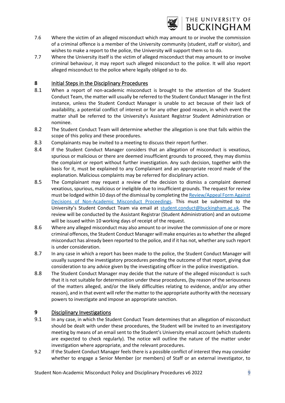

- 7.6 Where the victim of an alleged misconduct which may amount to or involve the commission of a criminal offence is a member of the University community (student, staff or visitor), and wishes to make a report to the police, the University will support them so to do.
- 7.7 Where the University itself is the victim of alleged misconduct that may amount to or involve criminal behaviour, it may report such alleged misconduct to the police. It will also report alleged misconduct to the police where legally obliged so to do.

#### <span id="page-8-0"></span>**8** Initial Steps in the Disciplinary Procedures

- 8.1 When a report of non-academic misconduct is brought to the attention of the Student Conduct Team, the matter will usually be referred to the Student Conduct Manager in the first instance, unless the Student Conduct Manager is unable to act because of their lack of availability, a potential conflict of interest or for any other good reason, in which event the matter shall be referred to the University's Assistant Registrar Student Administration or nominee.
- 8.2 The Student Conduct Team will determine whether the allegation is one that falls within the scope of this policy and these procedures.
- 8.3 Complainants may be invited to a meeting to discuss their report further.
- 8.4 If the Student Conduct Manager considers that an allegation of misconduct is vexatious, spurious or malicious or there are deemed insufficient grounds to proceed, they may dismiss the complaint or report without further investigation. Any such decision, together with the basis for it, must be explained to any Complainant and an appropriate record made of the explanation. Malicious complaints may be referred for disciplinary action.
- 8.5 The Complainant may request a review of the decision to dismiss a complaint deemed vexatious, spurious, malicious or ineligible due to insufficient grounds. The request for review must be lodged within 10 days of the dismissal by completing th[e Review/Appeal Form Against](https://www.buckingham.ac.uk/wp-content/uploads/2022/01/NAMP-Review-Appeal-Form.pdf)  [Decisions of Non-Academic Misconduct Proceedings.](https://www.buckingham.ac.uk/wp-content/uploads/2022/01/NAMP-Review-Appeal-Form.pdf) This must be submitted to the University's Student Conduct Team via email at student.conduct@buckingham.ac.uk. The review will be conducted by the Assistant Registrar (Student Administration) and an outcome will be issued within 10 working days of receipt of the request.
- 8.6 Where any alleged misconduct may also amount to or involve the commission of one or more criminal offences, the Student Conduct Manager will make enquiries as to whether the alleged misconduct has already been reported to the police, and if it has not, whether any such report is under consideration.
- 8.7 In any case in which a report has been made to the police, the Student Conduct Manager will usually suspend the investigatory procedures pending the outcome of that report, giving due consideration to any advice given by the investigating officer in the police investigation.
- 8.8 The Student Conduct Manager may decide that the nature of the alleged misconduct is such that it is not suitable for determination under these procedures, (by reason of the seriousness of the matters alleged, and/or the likely difficulties relating to evidence, and/or any other reason), and in that event will refer the matter to the appropriate authority with the necessary powers to investigate and impose an appropriate sanction.

#### <span id="page-8-1"></span>**9** Disciplinary Investigations

- 9.1 In any case, in which the Student Conduct Team determines that an allegation of misconduct should be dealt with under these procedures, the Student will be invited to an investigatory meeting by means of an email sent to the Student's University email account (which students are expected to check regularly). The notice will outline the nature of the matter under investigation where appropriate, and the relevant procedures.
- 9.2 If the Student Conduct Manager feels there is a possible conflict of interest they may consider whether to engage a Senior Member (or members) of Staff or an external investigator, to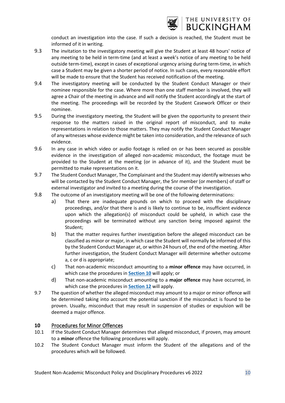

conduct an investigation into the case. If such a decision is reached, the Student must be informed of it in writing.

- 9.3 The invitation to the investigatory meeting will give the Student at least 48 hours' notice of any meeting to be held in term-time (and at least a week's notice of any meeting to be held outside term-time), except in cases of exceptional urgency arising during term-time, in which case a Student may be given a shorter period of notice. In such cases, every reasonable effort will be made to ensure that the Student has received notification of the meeting.
- 9.4 The investigatory meeting will be conducted by the Student Conduct Manager or their nominee responsible for the case. Where more than one staff member is involved, they will agree a Chair of the meeting in advance and will notify the Student accordingly at the start of the meeting. The proceedings will be recorded by the Student Casework Officer or their nominee.
- 9.5 During the investigatory meeting, the Student will be given the opportunity to present their response to the matters raised in the original report of misconduct, and to make representations in relation to those matters. They may notify the Student Conduct Manager of any witnesses whose evidence might be taken into consideration, and the relevance of such evidence.
- 9.6 In any case in which video or audio footage is relied on or has been secured as possible evidence in the investigation of alleged non-academic misconduct, the footage must be provided to the Student at the meeting (or in advance of it), and the Student must be permitted to make representations on it.
- 9.7 The Student Conduct Manager, The Complainant and the Student may identify witnesses who will be contacted by the Student Conduct Manager, the Snr member (or members) of staff or external investigator and invited to a meeting during the course of the investigation.
- 9.8 The outcome of an investigatory meeting will be one of the following determinations:
	- a) That there are inadequate grounds on which to proceed with the disciplinary proceedings, and/or that there is and is likely to continue to be, insufficient evidence upon which the allegation(s) of misconduct could be upheld, in which case the proceedings will be terminated without any sanction being imposed against the Student;
	- b) That the matter requires further investigation before the alleged misconduct can be classified as minor or major, in which case the Student will normally be informed of this by the Student Conduct Manager at, or within 24 hours of, the end of the meeting. After further investigation, the Student Conduct Manager will determine whether outcome a, c or d is appropriate;
	- c) That non-academic misconduct amounting to a **minor offence** may have occurred, in which case the procedures in **[Section](#page-9-0) 10** will apply; or
	- d) That non-academic misconduct amounting to a **major offence** may have occurred, in which case the procedures in **[Section](#page-11-0) 12** will apply.
- 9.7 The question of whether the alleged misconduct may amount to a major or minor offence will be determined taking into account the potential sanction if the misconduct is found to be proven. Usually, misconduct that may result in suspension of studies or expulsion will be deemed a major offence.

#### <span id="page-9-0"></span>**10** Procedures for Minor Offences

- 10.1 If the Student Conduct Manager determines that alleged misconduct, if proven, may amount to a **minor** offence the following procedures will apply.
- 10.2 The Student Conduct Manager must inform the Student of the allegations and of the procedures which will be followed.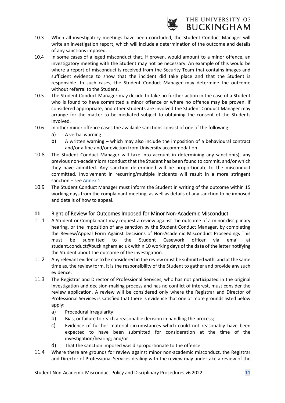

## THE UNIVERSITY OF **BUCKINGHAM**

- 10.3 When all investigatory meetings have been concluded, the Student Conduct Manager will write an investigation report, which will include a determination of the outcome and details of any sanctions imposed.
- 10.4 In some cases of alleged misconduct that, if proven, would amount to a minor offence, an investigatory meeting with the Student may not be necessary. An example of this would be where a report of misconduct is received from the Security Team that contains images and sufficient evidence to show that the incident did take place and that the Student is responsible. In such cases, the Student Conduct Manager may determine the outcome without referral to the Student.
- 10.5 The Student Conduct Manager may decide to take no further action in the case of a Student who is found to have committed a minor offence or where no offence may be proven. If considered appropriate, and other students are involved the Student Conduct Manager may arrange for the matter to be mediated subject to obtaining the consent of the Students involved.
- 10.6 In other minor offence cases the available sanctions consist of one of the following:
	- a) A verbal warning
	- b) A written warning which may also include the imposition of a behavioural contract and/or a fine and/or eviction from University accommodation
- 10.8 The Student Conduct Manager will take into account in determining any sanction(s), any previous non-academic misconduct that the Student has been found to commit, and/or which they have admitted. Any sanction determined will be proportionate to the misconduct committed. Involvement in recurring/multiple incidents will result in a more stringent sanction – see [Annex](#page-18-0) 1.
- 10.9 The Student Conduct Manager must inform the Student in writing of the outcome within 15 working days from the complainant meeting, as well as details of any sanction to be imposed and details of how to appeal.

#### <span id="page-10-0"></span>**11** Right of Review for Outcomes Imposed for Minor Non-Academic Misconduct

- 11.1 A Student or Complainant may request a review against the outcome of a minor disciplinary hearing, or the imposition of any sanction by the Student Conduct Manager, by completing the Review/Appeal Form Against Decisions of Non-Academic Misconduct Proceedings This must be submitted to the Student Casework officer via email at student.conduct@buckingham.ac.uk within 10 working days of the date of the letter notifying the Student about the outcome of the investigation.
- 11.2 Any relevant evidence to be considered in the review must be submitted with, and at the same time as, the review form. It is the responsibility of the Student to gather and provide any such evidence.
- 11.3 The Registrar and Director of Professional Services, who has not participated in the original investigation and decision-making process and has no conflict of interest, must consider the review application. A review will be considered only where the Registrar and Director of Professional Services is satisfied that there is evidence that one or more grounds listed below apply:
	- a) Procedural irregularity;
	- b) Bias, or failure to reach a reasonable decision in handling the process;
	- c) Evidence of further material circumstances which could not reasonably have been expected to have been submitted for consideration at the time of the investigation/hearing; and/or
	- d) That the sanction imposed was disproportionate to the offence.
- 11.4 Where there are grounds for review against minor non-academic misconduct, the Registrar and Director of Professional Services dealing with the review may undertake a review of the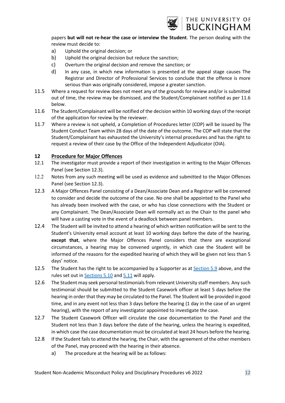

papers **but will not re-hear the case or interview the Student**. The person dealing with the review must decide to:

- a) Uphold the original decision; or
- b) Uphold the original decision but reduce the sanction;
- c) Overturn the original decision and remove the sanction; or
- d) In any case, in which new information is presented at the appeal stage causes The Registrar and Director of Professional Services to conclude that the offence is more serious than was originally considered, impose a greater sanction.
- 11.5 Where a request for review does not meet any of the grounds for review and/or is submitted out of time, the review may be dismissed, and the Student/Complainant notified as per 11.6 below.
- 11.6 The Student/Complainant will be notified of the decision within 10 working days of the receipt of the application for review by the reviewer.
- 11.7 Where a review is not upheld, a Completion of Procedures letter (COP) will be issued by The Student Conduct Team within 28 days of the date of the outcome. The COP will state that the Student/Complainant has exhausted the University's internal procedures and has the right to request a review of their case by the Office of the Independent Adjudicator (OIA).

#### <span id="page-11-0"></span>**12 Procedure for Major Offences**

- 12.1 The investigator must provide a report of their investigation in writing to the Major Offences Panel (see Section 12.3).
- 12.2 Notes from any such meeting will be used as evidence and submitted to the Major Offences Panel (see Section 12.3).
- 12.3 A Major Offences Panel consisting of a Dean/Associate Dean and a Registrar will be convened to consider and decide the outcome of the case. No one shall be appointed to the Panel who has already been involved with the case, or who has close connections with the Student or any Complainant. The Dean/Associate Dean will normally act as the Chair to the panel who will have a casting vote in the event of a deadlock between panel members.
- 12.4 The Student will be invited to attend a hearing of which written notification will be sent to the Student's University email account at least 10 working days before the date of the hearing, **except that**, where the Major Offences Panel considers that there are exceptional circumstances, a hearing may be convened urgently, in which case the Student will be informed of the reasons for the expedited hearing of which they will be given not less than 5 days' notice.
- 12.5 The Student has the right to be accompanied by a Supporter as at [Section](#page-8-1) 5.9 above, and the rules set out in [Sections 5.10](#page-9-0) an[d 5.11](#page-10-0) will apply.
- 12.6 The Student may seek personal testimonials from relevant University staff members. Any such testimonial should be submitted to the Student Casework officer at least 5 days before the hearing in order that they may be circulated to the Panel. The Student will be provided in good time, and in any event not less than 3 days before the hearing (1 day in the case of an urgent hearing), with the report of any investigator appointed to investigate the case.
- 12.7 The Student Casework Officer will circulate the case documentation to the Panel and the Student not less than 3 days before the date of the hearing, unless the hearing is expedited, in which case the case documentation must be circulated at least 24 hours before the hearing.
- 12.8 If the Student fails to attend the hearing, the Chair, with the agreement of the other members of the Panel, may proceed with the hearing in their absence.
	- a) The procedure at the hearing will be as follows: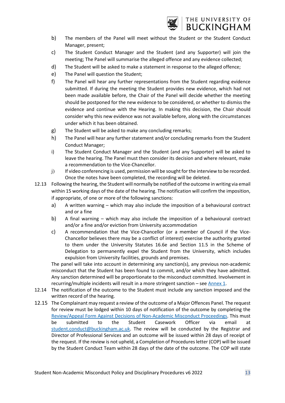

- b) The members of the Panel will meet without the Student or the Student Conduct Manager, present;
- c) The Student Conduct Manager and the Student (and any Supporter) will join the meeting; The Panel will summarise the alleged offence and any evidence collected;
- d) The Student will be asked to make a statement in response to the alleged offence;
- e) The Panel will question the Student;
- f) The Panel will hear any further representations from the Student regarding evidence submitted. If during the meeting the Student provides new evidence, which had not been made available before, the Chair of the Panel will decide whether the meeting should be postponed for the new evidence to be considered, or whether to dismiss the evidence and continue with the Hearing. In making this decision, the Chair should consider why this new evidence was not available before, along with the circumstances under which it has been obtained.
- g) The Student will be asked to make any concluding remarks;
- h) The Panel will hear any further statement and/or concluding remarks from the Student Conduct Manager;
- i) The Student Conduct Manager and the Student (and any Supporter) will be asked to leave the hearing. The Panel must then consider its decision and where relevant, make a recommendation to the Vice-Chancellor.
- j) If video conferencing is used, permission will be sought for the interview to be recorded. Once the notes have been completed, the recording will be deleted.
- 12.13 Following the hearing, the Student will normally be notified of the outcome in writing via email within 15 working days of the date of the hearing. The notification will confirm the imposition, if appropriate, of one or more of the following sanctions:
	- a) A written warning which may also include the imposition of a behavioural contract and or a fine
	- b) A final warning which may also include the imposition of a behavioural contract and/or a fine and/or eviction from University accommodation
	- c) A recommendation that the Vice-Chancellor (or a member of Council if the Vice-Chancellor believes there may be a conflict of interest) exercise the authority granted to them under the University Statutes 16.6e and Section 11.5 in the Scheme of Delegation to permanently expel the Student from the University, which includes expulsion from University facilities, grounds and premises.

The panel will take into account in determining any sanction(s), any previous non-academic misconduct that the Student has been found to commit, and/or which they have admitted. Any sanction determined will be proportionate to the misconduct committed. Involvement in recurring/multiple incidents will result in a more stringent sanction – see [Annex](#page-18-0) 1.

- 12.14 The notification of the outcome to the Student must include any sanction imposed and the written record of the hearing.
- 12.15 The Complainant may request a review of the outcome of a Major Offences Panel. The request for review must be lodged within 10 days of notification of the outcome by completing the [Review/Appeal Form Against Decisions of Non-Academic Misconduct Proceedings.](https://www.buckingham.ac.uk/wp-content/uploads/2022/01/NAMP-Review-Appeal-Form.pdf) This must be submitted to the Student Casework Officer via email at [student.conduct@buckingham.ac.uk.](mailto:student.conduct@buckingham.ac.uk) The review will be conducted by the Registrar and Director of Professional Services and an outcome will be issued within 28 days of receipt of the request. If the review is not upheld, a Completion of Procedures letter (COP) will be issued by the Student Conduct Team within 28 days of the date of the outcome. The COP will state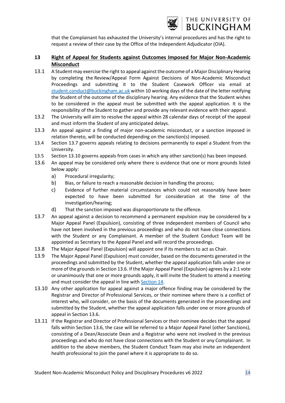

that the Complainant has exhausted the University's internal procedures and has the right to request a review of their case by the Office of the Independent Adjudicator (OIA).

#### <span id="page-13-0"></span>**13 Right of Appeal for Students against Outcomes Imposed for Major Non-Academic Misconduct**

- 13.1 A Student may exercise the right to appeal against the outcome of a Major Disciplinary Hearing by completing the Review/Appeal Form Against Decisions of Non-Academic Misconduct Proceedings and submitting it to the Student Casework Officer via email at student.conduct@buckingham.ac.uk within 10 working days of the date of the letter notifying the Student of the outcome of the disciplinary hearing. Any evidence that the Student wishes to be considered in the appeal must be submitted with the appeal application. It is the responsibility of the Student to gather and provide any relevant evidence with their appeal.
- 13.2 The University will aim to resolve the appeal within 28 calendar days of receipt of the appeal and must inform the Student of any anticipated delays.
- 13.3 An appeal against a finding of major non-academic misconduct, or a sanction imposed in relation thereto, will be conducted depending on the sanction(s) imposed.
- 13.4 Section 13.7 governs appeals relating to decisions permanently to expel a Student from the University.
- 13.5 Section 13.10 governs appeals from cases in which any other sanction(s) has been imposed.
- 13.6 An appeal may be considered only where there is evidence that one or more grounds listed below apply:
	- a) Procedural irregularity;
	- b) Bias, or failure to reach a reasonable decision in handling the process;
	- c) Evidence of further material circumstances which could not reasonably have been expected to have been submitted for consideration at the time of the investigation/hearing;
	- d) That the sanction imposed was disproportionate to the offence.
- 13.7 An appeal against a decision to recommend a permanent expulsion may be considered by a Major Appeal Panel (Expulsion), consisting of three independent members of Council who have not been involved in the previous proceedings and who do not have close connections with the Student or any Complainant. A member of the Student Conduct Team will be appointed as Secretary to the Appeal Panel and will record the proceedings.
- 13.8 The Major Appeal Panel (Expulsion) will appoint one if its members to act as Chair.
- 13.9 The Major Appeal Panel (Expulsion) must consider, based on the documents generated in the proceedings and submitted by the Student, whether the appeal application falls under one or more of the grounds in Section 13.6. If the Major Appeal Panel (Expulsion) agrees by a 2:1 vote or unanimously that one or more grounds apply, it will invite the Student to attend a meeting and must consider the appeal in line with [Section](#page-14-0) 14.
- 13.10 Any other application for appeal against a major offence finding may be considered by the Registrar and Director of Professional Services, or their nominee where there is a conflict of interest who, will consider, on the basis of the documents generated in the proceedings and submitted by the Student, whether the appeal application falls under one or more grounds of appeal in Section 13.6.
- 13.11 If the Registrar and Director of Professional Services or their nominee decides that the appeal falls within Section 13.6, the case will be referred to a Major Appeal Panel (other Sanctions), consisting of a Dean/Associate Dean and a Registrar who were not involved in the previous proceedings and who do not have close connections with the Student or any Complainant. In addition to the above members, the Student Conduct Team may also invite an independent health professional to join the panel where it is appropriate to do so.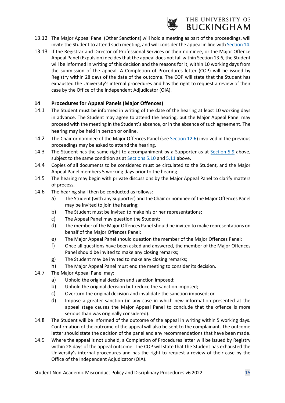

#### 13.12 The Major Appeal Panel (Other Sanctions) will hold a meeting as part of the proceedings, will invite the Student to attend such meeting, and will consider the appeal in line wit[h Section](#page-9-0) 14.

13.13 If the Registrar and Director of Professional Services or their nominee, or the Major Offence Appeal Panel (Expulsion) decides that the appeal does not fall within Section 13.6, the Student will be informed in writing of this decision and the reasons for it, within 10 working days from the submission of the appeal. A Completion of Procedures letter (COP) will be issued by Registry within 28 days of the date of the outcome. The COP will state that the Student has exhausted the University's internal procedures and has the right to request a review of their case by the Office of the Independent Adjudicator (OIA).

#### <span id="page-14-0"></span>**14 Procedures for Appeal Panels (Major Offences)**

- 14.1 The Student must be informed in writing of the date of the hearing at least 10 working days in advance. The Student may agree to attend the hearing, but the Major Appeal Panel may proceed with the meeting in the Student's absence, or in the absence of such agreement. The hearing may be held in person or online.
- 14.2 The Chair or nominee of the Major Offences Panel (see [Section](#page-11-0) 12.6) involved in the previous proceedings may be asked to attend the hearing.
- 14.3 The Student has the same right to accompaniment by a Supporter as at [Section](#page-5-0) 5.9 above, subject to the same condition as at [Sections 5.10](#page-9-0) and [5.11](#page-10-0) above.
- 14.4 Copies of all documents to be considered must be circulated to the Student, and the Major Appeal Panel members 5 working days prior to the hearing.
- 14.5 The hearing may begin with private discussions by the Major Appeal Panel to clarify matters of process.
- 14.6 The hearing shall then be conducted as follows:
	- a) The Student (with any Supporter) and the Chair or nominee of the Major Offences Panel may be invited to join the hearing;
	- b) The Student must be invited to make his or her representations;
	- c) The Appeal Panel may question the Student;
	- d) The member of the Major Offences Panel should be invited to make representations on behalf of the Major Offences Panel;
	- e) The Major Appeal Panel should question the member of the Major Offences Panel;
	- f) Once all questions have been asked and answered, the member of the Major Offences Panel should be invited to make any closing remarks;
	- g) The Student may be invited to make any closing remarks;
	- h) The Major Appeal Panel must end the meeting to consider its decision.
- 14.7 The Major Appeal Panel may:
	- a) Uphold the original decision and sanction imposed;
	- b) Uphold the original decision but reduce the sanction imposed;
	- c) Overturn the original decision and invalidate the sanction imposed; or
	- d) Impose a greater sanction (in any case in which new information presented at the appeal stage causes the Major Appeal Panel to conclude that the offence is more serious than was originally considered).
- 14.8 The Student will be informed of the outcome of the appeal in writing within 5 working days. Confirmation of the outcome of the appeal will also be sent to the complainant. The outcome letter should state the decision of the panel and any recommendations that have been made.
- 14.9 Where the appeal is not upheld, a Completion of Procedures letter will be issued by Registry within 28 days of the appeal outcome. The COP will state that the Student has exhausted the University's internal procedures and has the right to request a review of their case by the Office of the Independent Adjudicator (OIA).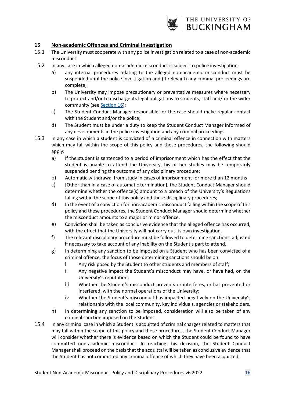

#### <span id="page-15-0"></span>**15 Non-academic Offences and Criminal Investigation**

- 15.1 The University must cooperate with any police investigation related to a case of non-academic misconduct.
- 15.2 In any case in which alleged non-academic misconduct is subject to police investigation:
	- a) any internal procedures relating to the alleged non-academic misconduct must be suspended until the police investigation and (if relevant) any criminal proceedings are complete;
	- b) The University may impose precautionary or preventative measures where necessary to protect and/or to discharge its legal obligations to students, staff and/ or the wider community (see [Section](#page-16-0) 16);
	- c) The Student Conduct Manager responsible for the case should make regular contact with the Student and/or the police;
	- d) The Student must be under a duty to keep the Student Conduct Manager informed of any developments in the police investigation and any criminal proceedings.
- 15.3 In any case in which a student is convicted of a criminal offence in connection with matters which may fall within the scope of this policy and these procedures, the following should apply:
	- a) If the student is sentenced to a period of imprisonment which has the effect that the student is unable to attend the University, his or her studies may be temporarily suspended pending the outcome of any disciplinary procedure;
	- b) Automatic withdrawal from study in cases of imprisonment for more than 12 months
	- c) [Other than in a case of automatic termination], the Student Conduct Manager should determine whether the offence(s) amount to a breach of the University's Regulations falling within the scope of this policy and these disciplinary procedures;
	- d) In the event of a conviction for non-academic misconduct falling within the scope of this policy and these procedures, the Student Conduct Manager should determine whether the misconduct amounts to a major or minor offence.
	- e) Conviction shall be taken as conclusive evidence that the alleged offence has occurred, with the effect that the University will not carry out its own investigation.
	- f) The relevant disciplinary procedure must be followed to determine sanctions, adjusted if necessary to take account of any inability on the Student's part to attend.
	- g) In determining any sanction to be imposed on a Student who has been convicted of a criminal offence, the focus of those determining sanctions should be on:
		- i Any risk posed by the Student to other students and members of staff;
		- ii Any negative impact the Student's misconduct may have, or have had, on the University's reputation;
		- iii Whether the Student's misconduct prevents or interferes, or has prevented or interfered, with the normal operations of the University;
		- iv Whether the Student's misconduct has impacted negatively on the University's relationship with the local community, key individuals, agencies or stakeholders.
	- h) In determining any sanction to be imposed, consideration will also be taken of any criminal sanction imposed on the Student.
- 15.4 In any criminal case in which a Student is acquitted of criminal charges related to matters that may fall within the scope of this policy and these procedures, the Student Conduct Manager will consider whether there is evidence based on which the Student could be found to have committed non-academic misconduct. In reaching this decision, the Student Conduct Manager shall proceed on the basis that the acquittal will be taken as conclusive evidence that the Student has not committed any criminal offence of which they have been acquitted.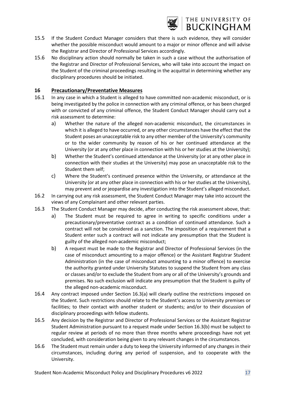

## THE UNIVERSITY OF **BUCKINGHAM**

- 15.5 If the Student Conduct Manager considers that there is such evidence, they will consider whether the possible misconduct would amount to a major or minor offence and will advise the Registrar and Director of Professional Services accordingly.
- 15.6 No disciplinary action should normally be taken in such a case without the authorisation of the Registrar and Director of Professional Services, who will take into account the impact on the Student of the criminal proceedings resulting in the acquittal in determining whether any disciplinary procedures should be initiated.

#### <span id="page-16-0"></span>**16 Precautionary/Preventative Measures**

- 16.1 In any case in which a Student is alleged to have committed non-academic misconduct, or is being investigated by the police in connection with any criminal offence, or has been charged with or convicted of any criminal offence, the Student Conduct Manager should carry out a risk assessment to determine:
	- a) Whether the nature of the alleged non-academic misconduct, the circumstances in which it is alleged to have occurred, or any other circumstances have the effect that the Student poses an unacceptable risk to any other member of the University's community or to the wider community by reason of his or her continued attendance at the University (or at any other place in connection with his or her studies at the University);
	- b) Whether the Student's continued attendance at the University (or at any other place in connection with their studies at the University) may pose an unacceptable risk to the Student them self;
	- c) Where the Student's continued presence within the University, or attendance at the University (or at any other place in connection with his or her studies at the University), may prevent and or jeopardise any investigation into the Student's alleged misconduct.
- 16.2 In carrying out any risk assessment, the Student Conduct Manager may take into account the views of any Complainant and other relevant parties.
- 16.3 The Student Conduct Manager may decide, after conducting the risk assessment above, that:
	- a) The Student must be required to agree in writing to specific conditions under a precautionary/preventative contract as a condition of continued attendance. Such a contract will not be considered as a sanction. The imposition of a requirement that a Student enter such a contract will not indicate any presumption that the Student is guilty of the alleged non-academic misconduct;
	- b) A request must be made to the Registrar and Director of Professional Services (in the case of misconduct amounting to a major offence) or the Assistant Registrar Student Administration (in the case of misconduct amounting to a minor offence) to exercise the authority granted under University Statutes to suspend the Student from any class or classes and/or to exclude the Student from any or all of the University's grounds and premises. No such exclusion will indicate any presumption that the Student is guilty of the alleged non-academic misconduct.
- 16.4 Any contract imposed under Section 16.3(a) will clearly outline the restrictions imposed on the Student. Such restrictions should relate to the Student's access to University premises or facilities; to their contact with another student or students; and/or to their discussion of disciplinary proceedings with fellow students.
- 16.5 Any decision by the Registrar and Director of Professional Services or the Assistant Registrar Student Administration pursuant to a request made under Section 16.3(b) must be subject to regular review at periods of no more than three months where proceedings have not yet concluded, with consideration being given to any relevant changes in the circumstances.
- 16.6 The Student must remain under a duty to keep the University informed of any changes in their circumstances, including during any period of suspension, and to cooperate with the University.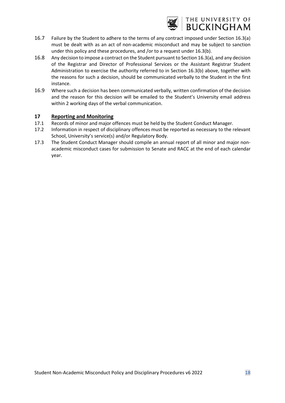

## THE UNIVERSITY OF **BUCKINGHAM**

- 16.7 Failure by the Student to adhere to the terms of any contract imposed under Section 16.3(a) must be dealt with as an act of non-academic misconduct and may be subject to sanction under this policy and these procedures, and /or to a request under 16.3(b).
- 16.8 Any decision to impose a contract on the Student pursuant to Section 16.3(a), and any decision of the Registrar and Director of Professional Services or the Assistant Registrar Student Administration to exercise the authority referred to in Section 16.3(b) above, together with the reasons for such a decision, should be communicated verbally to the Student in the first instance.
- 16.9 Where such a decision has been communicated verbally, written confirmation of the decision and the reason for this decision will be emailed to the Student's University email address within 2 working days of the verbal communication.

#### <span id="page-17-0"></span>**17 Reporting and Monitoring**

- 17.1 Records of minor and major offences must be held by the Student Conduct Manager.
- 17.2 Information in respect of disciplinary offences must be reported as necessary to the relevant School, University's service(s) and/or Regulatory Body.
- 17.3 The Student Conduct Manager should compile an annual report of all minor and major nonacademic misconduct cases for submission to Senate and RACC at the end of each calendar year.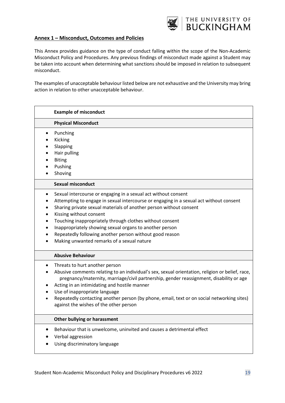

#### <span id="page-18-0"></span>**Annex 1 – Misconduct, Outcomes and Policies**

This Annex provides guidance on the type of conduct falling within the scope of the Non-Academic Misconduct Policy and Procedures. Any previous findings of misconduct made against a Student may be taken into account when determining what sanctions should be imposed in relation to subsequent misconduct.

The examples of unacceptable behaviour listed below are not exhaustive and the University may bring action in relation to other unacceptable behaviour.

|           | <b>Example of misconduct</b>                                                                                                                                                                                                                                                                                                                                                                                                                                                              |
|-----------|-------------------------------------------------------------------------------------------------------------------------------------------------------------------------------------------------------------------------------------------------------------------------------------------------------------------------------------------------------------------------------------------------------------------------------------------------------------------------------------------|
|           | <b>Physical Misconduct</b>                                                                                                                                                                                                                                                                                                                                                                                                                                                                |
|           | Punching<br>Kicking<br>Slapping<br>Hair pulling<br><b>Biting</b><br>Pushing<br>Shoving                                                                                                                                                                                                                                                                                                                                                                                                    |
|           | <b>Sexual misconduct</b>                                                                                                                                                                                                                                                                                                                                                                                                                                                                  |
| $\bullet$ | Sexual intercourse or engaging in a sexual act without consent<br>Attempting to engage in sexual intercourse or engaging in a sexual act without consent<br>Sharing private sexual materials of another person without consent<br>Kissing without consent<br>Touching inappropriately through clothes without consent<br>Inappropriately showing sexual organs to another person<br>Repeatedly following another person without good reason<br>Making unwanted remarks of a sexual nature |
|           | <b>Abusive Behaviour</b>                                                                                                                                                                                                                                                                                                                                                                                                                                                                  |
| $\bullet$ | Threats to hurt another person<br>Abusive comments relating to an individual's sex, sexual orientation, religion or belief, race,<br>pregnancy/maternity, marriage/civil partnership, gender reassignment, disability or age<br>Acting in an intimidating and hostile manner<br>Use of inappropriate language<br>Repeatedly contacting another person (by phone, email, text or on social networking sites)<br>against the wishes of the other person                                     |
|           | Other bullying or harassment                                                                                                                                                                                                                                                                                                                                                                                                                                                              |
|           | Behaviour that is unwelcome, uninvited and causes a detrimental effect<br>Verbal aggression<br>Using discriminatory language                                                                                                                                                                                                                                                                                                                                                              |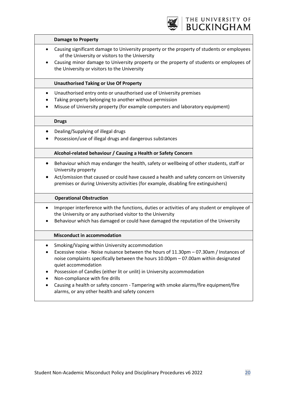

#### **Damage to Property**

- Causing significant damage to University property or the property of students or employees of the University or visitors to the University
- Causing minor damage to University property or the property of students or employees of the University or visitors to the University

#### **Unauthorised Taking or Use Of Property**

- Unauthorised entry onto or unauthorised use of University premises
- Taking property belonging to another without permission
- Misuse of University property (for example computers and laboratory equipment)

#### **Drugs**

- Dealing/Supplying of illegal drugs
- Possession/use of illegal drugs and dangerous substances

#### **Alcohol-related behaviour / Causing a Health or Safety Concern**

- Behaviour which may endanger the health, safety or wellbeing of other students, staff or University property
- Act/omission that caused or could have caused a health and safety concern on University premises or during University activities (for example, disabling fire extinguishers)

#### **Operational Obstruction**

- Improper interference with the functions, duties or activities of any student or employee of the University or any authorised visitor to the University
- Behaviour which has damaged or could have damaged the reputation of the University

#### **Misconduct in accommodation**

- Smoking/Vaping within University accommodation
- Excessive noise Noise nuisance between the hours of 11.30pm 07.30am / Instances of noise complaints specifically between the hours 10.00pm – 07.00am within designated quiet accommodation
- Possession of Candles (either lit or unlit) in University accommodation
- Non-compliance with fire drills
- Causing a health or safety concern Tampering with smoke alarms/fire equipment/fire alarms, or any other health and safety concern